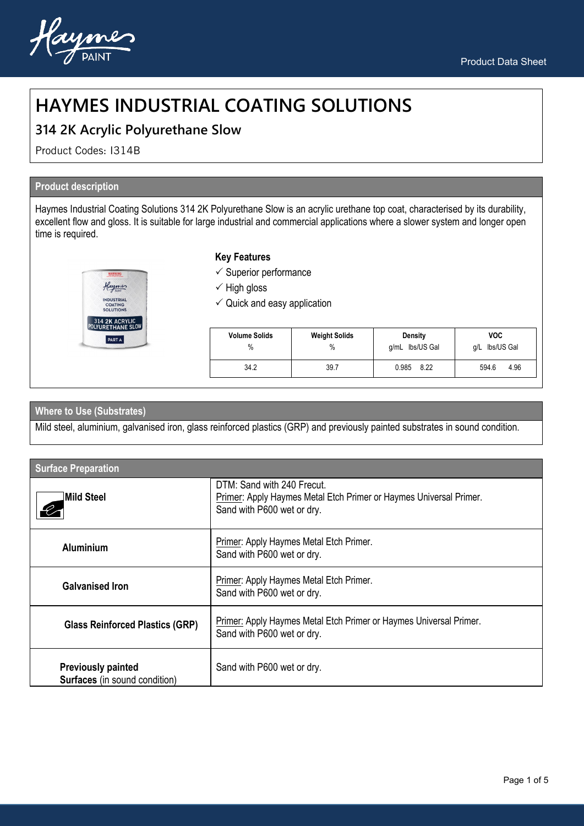

# **HAYMES INDUSTRIAL COATING SOLUTIONS**

# **314 2K Acrylic Polyurethane Slow**

Product Codes: I314B

# **Product description**

Haymes Industrial Coating Solutions 314 2K Polyurethane Slow is an acrylic urethane top coat, characterised by its durability, excellent flow and gloss. It is suitable for large industrial and commercial applications where a slower system and longer open time is required.

| layme                                                   |  |
|---------------------------------------------------------|--|
| <b>INDUSTRIAL</b><br><b>COATING</b><br><b>SOLUTIONS</b> |  |
| 314 2K ACRYLIC<br>POLYURETHANE SLOW                     |  |
| <b>PART A</b>                                           |  |

### **Key Features**

- $\checkmark$  Superior performance
- $\checkmark$  High gloss
- $\checkmark$  Quick and easy application

| <b>Volume Solids</b> | <b>Weight Solids</b> | Density         | VOC.           |
|----------------------|----------------------|-----------------|----------------|
| $\%$                 | $\%$                 | g/mL lbs/US Gal | g/L lbs/US Gal |
| 34.2                 | 39.7                 | 0.985<br>8.22   | 594.6<br>4.96  |

## **Where to Use (Substrates)**

Mild steel, aluminium, galvanised iron, glass reinforced plastics (GRP) and previously painted substrates in sound condition.

| <b>Surface Preparation</b>                                        |                                                                                                                                |  |
|-------------------------------------------------------------------|--------------------------------------------------------------------------------------------------------------------------------|--|
| <b>Mild Steel</b>                                                 | DTM: Sand with 240 Frecut.<br>Primer: Apply Haymes Metal Etch Primer or Haymes Universal Primer.<br>Sand with P600 wet or dry. |  |
| <b>Aluminium</b>                                                  | Primer: Apply Haymes Metal Etch Primer.<br>Sand with P600 wet or dry.                                                          |  |
| <b>Galvanised Iron</b>                                            | Primer: Apply Haymes Metal Etch Primer.<br>Sand with P600 wet or dry.                                                          |  |
| <b>Glass Reinforced Plastics (GRP)</b>                            | Primer: Apply Haymes Metal Etch Primer or Haymes Universal Primer.<br>Sand with P600 wet or dry.                               |  |
| <b>Previously painted</b><br><b>Surfaces</b> (in sound condition) | Sand with P600 wet or dry.                                                                                                     |  |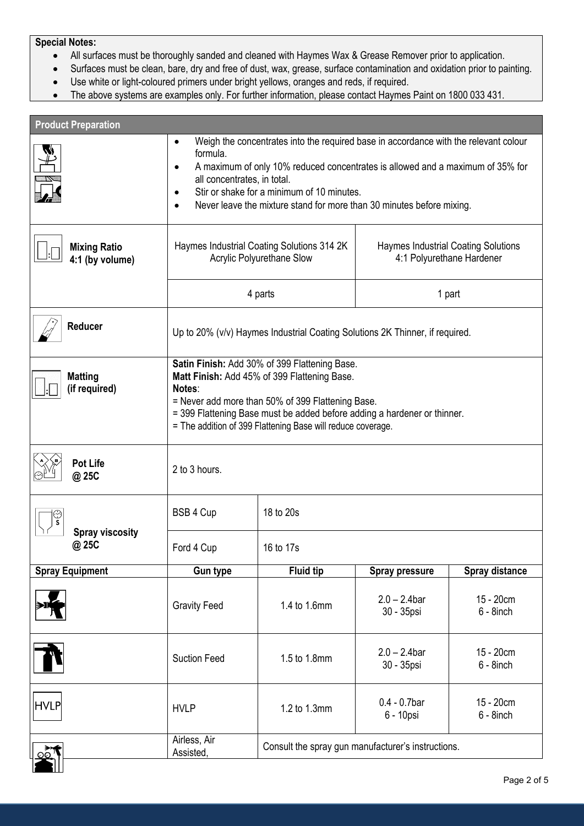### **Special Notes:**

- All surfaces must be thoroughly sanded and cleaned with Haymes Wax & Grease Remover prior to application.
- Surfaces must be clean, bare, dry and free of dust, wax, grease, surface contamination and oxidation prior to painting.
- Use white or light-coloured primers under bright yellows, oranges and reds, if required.
- The above systems are examples only. For further information, please contact Haymes Paint on 1800 033 431.

| <b>Product Preparation</b>             |                                                                                                                                                                                                                                                                                                                                                                                 |                  |                                                                         |                           |
|----------------------------------------|---------------------------------------------------------------------------------------------------------------------------------------------------------------------------------------------------------------------------------------------------------------------------------------------------------------------------------------------------------------------------------|------------------|-------------------------------------------------------------------------|---------------------------|
|                                        | Weigh the concentrates into the required base in accordance with the relevant colour<br>$\bullet$<br>formula.<br>A maximum of only 10% reduced concentrates is allowed and a maximum of 35% for<br>$\bullet$<br>all concentrates, in total.<br>Stir or shake for a minimum of 10 minutes.<br>$\bullet$<br>Never leave the mixture stand for more than 30 minutes before mixing. |                  |                                                                         |                           |
| <b>Mixing Ratio</b><br>4:1 (by volume) | Haymes Industrial Coating Solutions 314 2K<br>Acrylic Polyurethane Slow                                                                                                                                                                                                                                                                                                         |                  | <b>Haymes Industrial Coating Solutions</b><br>4:1 Polyurethane Hardener |                           |
|                                        | 4 parts                                                                                                                                                                                                                                                                                                                                                                         |                  | 1 part                                                                  |                           |
| Reducer                                | Up to 20% (v/v) Haymes Industrial Coating Solutions 2K Thinner, if required.                                                                                                                                                                                                                                                                                                    |                  |                                                                         |                           |
| <b>Matting</b><br>(if required)        | Satin Finish: Add 30% of 399 Flattening Base.<br>Matt Finish: Add 45% of 399 Flattening Base.<br>Notes:<br>= Never add more than 50% of 399 Flattening Base.<br>= 399 Flattening Base must be added before adding a hardener or thinner.<br>= The addition of 399 Flattening Base will reduce coverage.                                                                         |                  |                                                                         |                           |
| <b>Pot Life</b><br>@ 25C               | 2 to 3 hours.                                                                                                                                                                                                                                                                                                                                                                   |                  |                                                                         |                           |
| s                                      | BSB 4 Cup                                                                                                                                                                                                                                                                                                                                                                       | 18 to 20s        |                                                                         |                           |
| <b>Spray viscosity</b><br>@ 25C        | Ford 4 Cup                                                                                                                                                                                                                                                                                                                                                                      | 16 to 17s        |                                                                         |                           |
| <b>Spray Equipment</b>                 | <b>Gun type</b>                                                                                                                                                                                                                                                                                                                                                                 | <b>Fluid tip</b> | <b>Spray pressure</b>                                                   | Spray distance            |
|                                        | <b>Gravity Feed</b>                                                                                                                                                                                                                                                                                                                                                             | 1.4 to 1.6mm     | $2.0 - 2.4$ bar<br>30 - 35psi                                           | 15 - 20cm<br>$6 - 8$ inch |
|                                        | <b>Suction Feed</b>                                                                                                                                                                                                                                                                                                                                                             | 1.5 to 1.8mm     | $2.0 - 2.4$ bar<br>30 - 35psi                                           | 15 - 20cm<br>$6 - 8$ inch |
| <b>HVLP</b>                            | <b>HVLP</b>                                                                                                                                                                                                                                                                                                                                                                     | 1.2 to 1.3mm     | $0.4 - 0.7$ bar<br>6 - 10psi                                            | 15 - 20cm<br>$6 - 8$ inch |
|                                        | Airless, Air<br>Consult the spray gun manufacturer's instructions.<br>Assisted,                                                                                                                                                                                                                                                                                                 |                  |                                                                         |                           |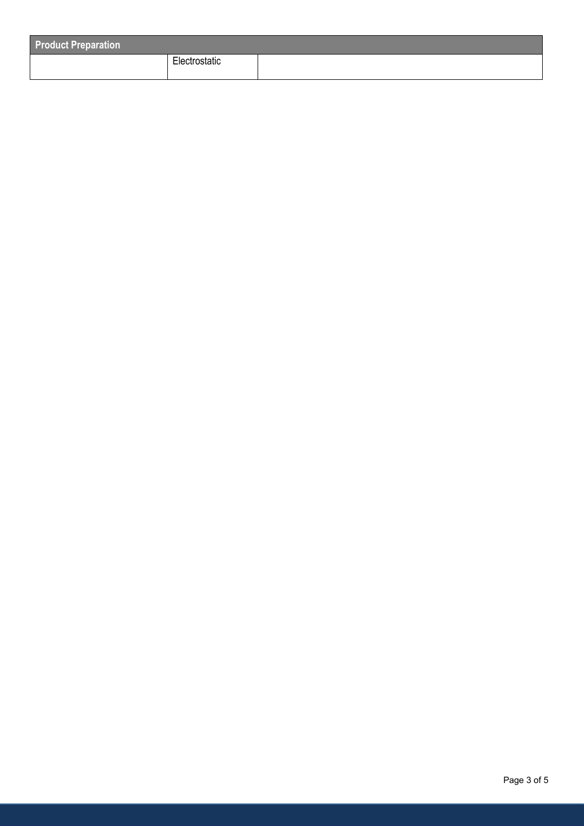| <b>Product Preparation</b> |               |  |
|----------------------------|---------------|--|
|                            | Electrostatic |  |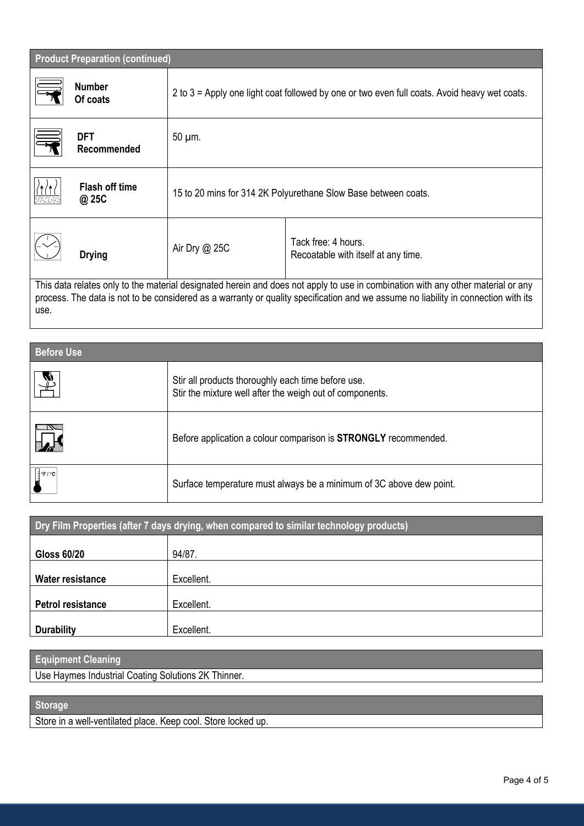| <b>Product Preparation (continued)</b> |               |                                                                                                                                                                                                                                                                        |  |  |
|----------------------------------------|---------------|------------------------------------------------------------------------------------------------------------------------------------------------------------------------------------------------------------------------------------------------------------------------|--|--|
| <b>Number</b><br>Of coats              |               | 2 to 3 = Apply one light coat followed by one or two even full coats. Avoid heavy wet coats.                                                                                                                                                                           |  |  |
| <b>DFT</b><br>Recommended              | 50 µm.        |                                                                                                                                                                                                                                                                        |  |  |
| <b>Flash off time</b><br>@ 25C         |               | 15 to 20 mins for 314 2K Polyurethane Slow Base between coats.                                                                                                                                                                                                         |  |  |
| <b>Drying</b>                          | Air Dry @ 25C | Tack free: 4 hours.<br>Recoatable with itself at any time.                                                                                                                                                                                                             |  |  |
| use.                                   |               | This data relates only to the material designated herein and does not apply to use in combination with any other material or any<br>process. The data is not to be considered as a warranty or quality specification and we assume no liability in connection with its |  |  |

| <b>Before Use</b>            |                                                                                                                |  |
|------------------------------|----------------------------------------------------------------------------------------------------------------|--|
| Ÿ                            | Stir all products thoroughly each time before use.<br>Stir the mixture well after the weigh out of components. |  |
| $\frac{1}{2}$                | Before application a colour comparison is <b>STRONGLY</b> recommended.                                         |  |
| $\left  \frac{1}{2}$ °F / °C | Surface temperature must always be a minimum of 3C above dew point.                                            |  |

| <b>Dry Film Properties (after 7 days drying, when compared to similar technology products)</b> |            |  |
|------------------------------------------------------------------------------------------------|------------|--|
| <b>Gloss 60/20</b>                                                                             | 94/87.     |  |
| <b>Water resistance</b>                                                                        | Excellent. |  |
| <b>Petrol resistance</b>                                                                       | Excellent. |  |
| <b>Durability</b>                                                                              | Excellent. |  |

# **Equipment Cleaning**

Use Haymes Industrial Coating Solutions 2K Thinner.

# **Storage**

Store in a well-ventilated place. Keep cool. Store locked up.